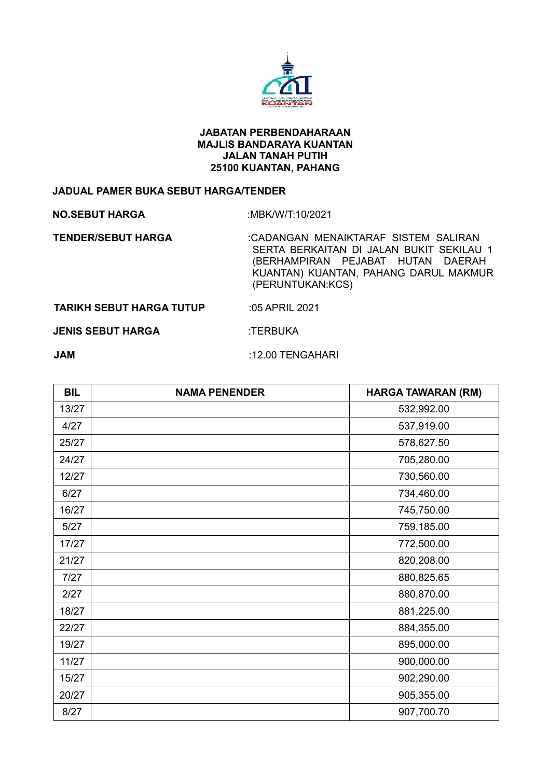

## **JABATAN PERBENDAHARAAN MAJLIS BANDARAYA KUANTAN JALAN TANAH PUTIH 25100 KUANTAN, PAHANG**

## **JADUAL PAMER BUKA SEBUT HARGA/TENDER**

**NO.SEBUT HARGA** :MBK/W/T:10/2021

 **TENDER/SEBUT HARGA** :CADANGAN MENAIKTARAF SISTEM SALIRAN SERTA BERKAITAN DI JALAN BUKIT SEKILAU 1 (BERHAMPIRAN PEJABAT HUTAN DAERAH KUANTAN) KUANTAN, PAHANG DARUL MAKMUR (PERUNTUKAN:KCS)

**TARIKH SEBUT HARGA TUTUP :05 APRIL 2021** 

**JENIS SEBUT HARGA :TERBUKA** 

**JAM** :12.00 TENGAHARI

| <b>BIL</b> | <b>NAMA PENENDER</b> | <b>HARGA TAWARAN (RM)</b> |
|------------|----------------------|---------------------------|
| 13/27      |                      | 532,992.00                |
| 4/27       |                      | 537,919.00                |
| 25/27      |                      | 578,627.50                |
| 24/27      |                      | 705,280.00                |
| 12/27      |                      | 730,560.00                |
| 6/27       |                      | 734,460.00                |
| 16/27      |                      | 745,750.00                |
| 5/27       |                      | 759,185.00                |
| 17/27      |                      | 772,500.00                |
| 21/27      |                      | 820,208.00                |
| 7/27       |                      | 880,825.65                |
| 2/27       |                      | 880,870.00                |
| 18/27      |                      | 881,225.00                |
| 22/27      |                      | 884,355.00                |
| 19/27      |                      | 895,000.00                |
| 11/27      |                      | 900,000.00                |
| 15/27      |                      | 902,290.00                |
| 20/27      |                      | 905,355.00                |
| 8/27       |                      | 907,700.70                |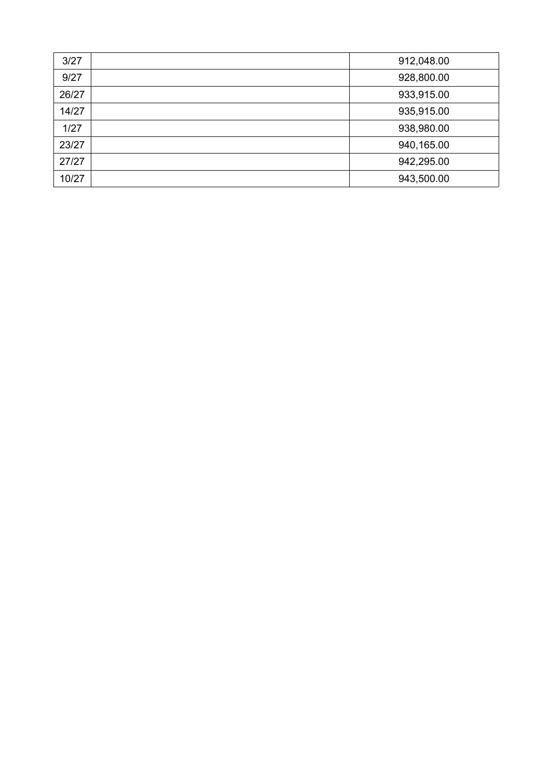| 3/27  | 912,048.00 |
|-------|------------|
| 9/27  | 928,800.00 |
| 26/27 | 933,915.00 |
| 14/27 | 935,915.00 |
| 1/27  | 938,980.00 |
| 23/27 | 940,165.00 |
| 27/27 | 942,295.00 |
| 10/27 | 943,500.00 |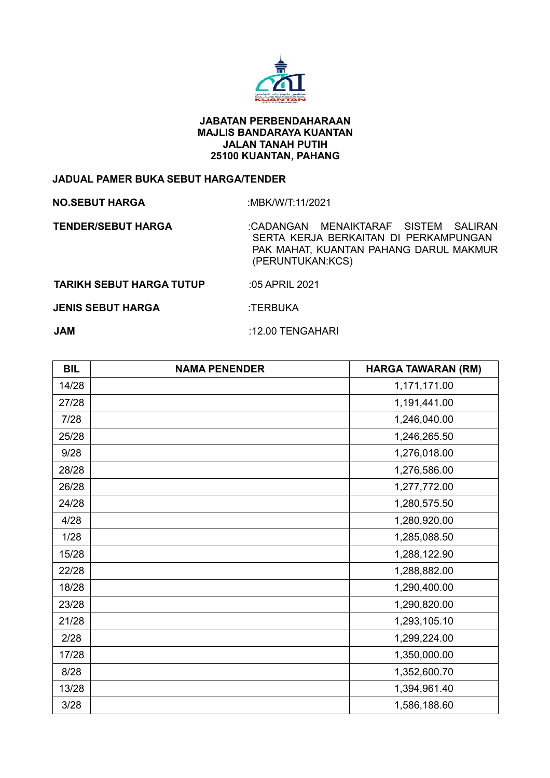

## **JABATAN PERBENDAHARAAN MAJLIS BANDARAYA KUANTAN JALAN TANAH PUTIH 25100 KUANTAN, PAHANG**

## **JADUAL PAMER BUKA SEBUT HARGA/TENDER**

**NO.SEBUT HARGA** :MBK/W/T:11/2021

 **TENDER/SEBUT HARGA** :CADANGAN MENAIKTARAF SISTEM SALIRAN SERTA KERJA BERKAITAN DI PERKAMPUNGAN PAK MAHAT, KUANTAN PAHANG DARUL MAKMUR (PERUNTUKAN:KCS)

 **TARIKH SEBUT HARGA TUTUP** :05 APRIL 2021

**JENIS SEBUT HARGA :TERBUKA** 

**JAM** :12.00 TENGAHARI

| <b>BIL</b> | <b>NAMA PENENDER</b> | <b>HARGA TAWARAN (RM)</b> |
|------------|----------------------|---------------------------|
| 14/28      |                      | 1,171,171.00              |
| 27/28      |                      | 1,191,441.00              |
| 7/28       |                      | 1,246,040.00              |
| 25/28      |                      | 1,246,265.50              |
| 9/28       |                      | 1,276,018.00              |
| 28/28      |                      | 1,276,586.00              |
| 26/28      |                      | 1,277,772.00              |
| 24/28      |                      | 1,280,575.50              |
| 4/28       |                      | 1,280,920.00              |
| 1/28       |                      | 1,285,088.50              |
| 15/28      |                      | 1,288,122.90              |
| 22/28      |                      | 1,288,882.00              |
| 18/28      |                      | 1,290,400.00              |
| 23/28      |                      | 1,290,820.00              |
| 21/28      |                      | 1,293,105.10              |
| 2/28       |                      | 1,299,224.00              |
| 17/28      |                      | 1,350,000.00              |
| 8/28       |                      | 1,352,600.70              |
| 13/28      |                      | 1,394,961.40              |
| 3/28       |                      | 1,586,188.60              |